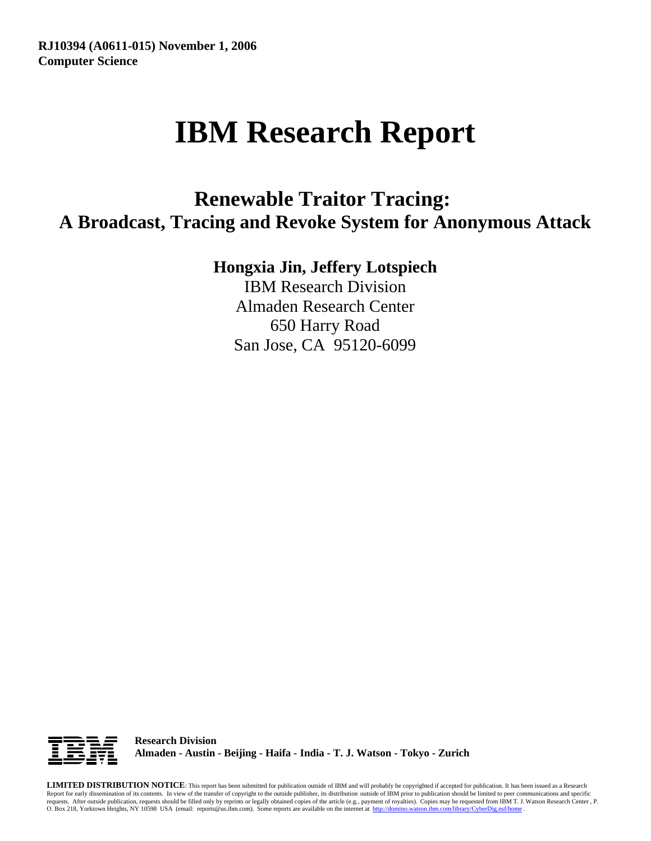# **IBM Research Report**

## **Renewable Traitor Tracing: A Broadcast, Tracing and Revoke System for Anonymous Attack**

## **Hongxia Jin, Jeffery Lotspiech**

IBM Research Division Almaden Research Center 650 Harry Road San Jose, CA 95120-6099



**Research Division Almaden - Austin - Beijing - Haifa - India - T. J. Watson - Tokyo - Zurich**

**LIMITED DISTRIBUTION NOTICE**: This report has been submitted for publication outside of IBM and will probably be copyrighted if accepted for publication. It has been issued as a Research Report for early dissemination of its contents. In view of the transfer of copyright to the outside publisher, its distribution outside of IBM prior to publication should be limited to peer communications and specific requests. After outside publication, requests should be filled only by reprints or legally obtained copies of the article (e.g., payment of royalties). Copies may be requested from IBM T. J. Watson Research Center , P.<br>O.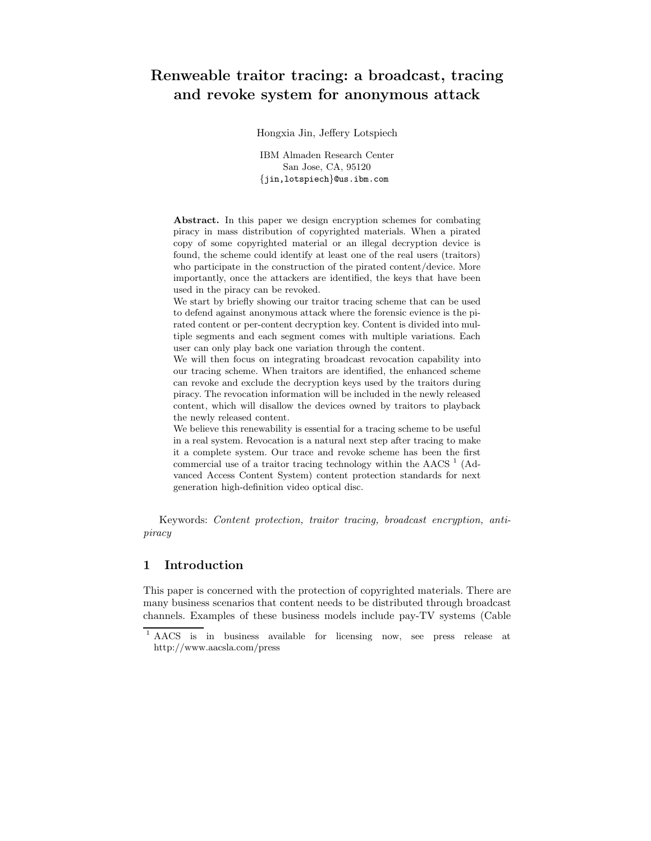### **Renweable traitor tracing: a broadcast, tracing and revoke system for anonymous attack**

Hongxia Jin, Jeffery Lotspiech

IBM Almaden Research Center San Jose, CA, 95120 *{*jin,lotspiech*}*@us.ibm.com

**Abstract.** In this paper we design encryption schemes for combating piracy in mass distribution of copyrighted materials. When a pirated copy of some copyrighted material or an illegal decryption device is found, the scheme could identify at least one of the real users (traitors) who participate in the construction of the pirated content/device. More importantly, once the attackers are identified, the keys that have been used in the piracy can be revoked.

We start by briefly showing our traitor tracing scheme that can be used to defend against anonymous attack where the forensic evience is the pirated content or per-content decryption key. Content is divided into multiple segments and each segment comes with multiple variations. Each user can only play back one variation through the content.

We will then focus on integrating broadcast revocation capability into our tracing scheme. When traitors are identified, the enhanced scheme can revoke and exclude the decryption keys used by the traitors during piracy. The revocation information will be included in the newly released content, which will disallow the devices owned by traitors to playback the newly released content.

We believe this renewability is essential for a tracing scheme to be useful in a real system. Revocation is a natural next step after tracing to make it a complete system. Our trace and revoke scheme has been the first commercial use of a traitor tracing technology within the AACS  $<sup>1</sup>$  (Ad-</sup> vanced Access Content System) content protection standards for next generation high-definition video optical disc.

Keywords: *Content protection, traitor tracing, broadcast encryption, antipiracy*

#### **1 Introduction**

This paper is concerned with the protection of copyrighted materials. There are many business scenarios that content needs to be distributed through broadcast channels. Examples of these business models include pay-TV systems (Cable

<sup>1</sup> AACS is in business available for licensing now, see press release at http://www.aacsla.com/press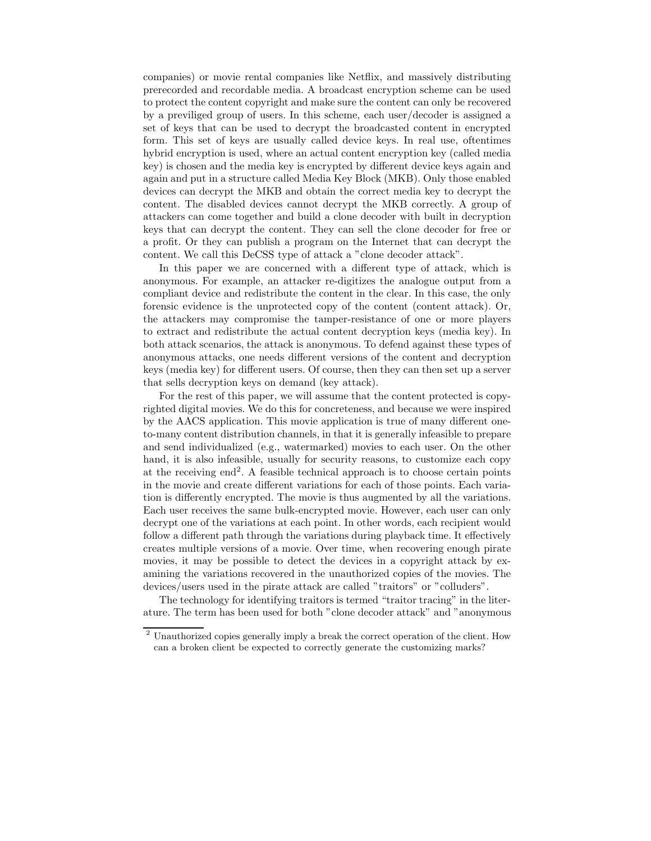companies) or movie rental companies like Netflix, and massively distributing prerecorded and recordable media. A broadcast encryption scheme can be used to protect the content copyright and make sure the content can only be recovered by a previliged group of users. In this scheme, each user/decoder is assigned a set of keys that can be used to decrypt the broadcasted content in encrypted form. This set of keys are usually called device keys. In real use, oftentimes hybrid encryption is used, where an actual content encryption key (called media key) is chosen and the media key is encrypted by different device keys again and again and put in a structure called Media Key Block (MKB). Only those enabled devices can decrypt the MKB and obtain the correct media key to decrypt the content. The disabled devices cannot decrypt the MKB correctly. A group of attackers can come together and build a clone decoder with built in decryption keys that can decrypt the content. They can sell the clone decoder for free or a profit. Or they can publish a program on the Internet that can decrypt the content. We call this DeCSS type of attack a "clone decoder attack".

In this paper we are concerned with a different type of attack, which is anonymous. For example, an attacker re-digitizes the analogue output from a compliant device and redistribute the content in the clear. In this case, the only forensic evidence is the unprotected copy of the content (content attack). Or, the attackers may compromise the tamper-resistance of one or more players to extract and redistribute the actual content decryption keys (media key). In both attack scenarios, the attack is anonymous. To defend against these types of anonymous attacks, one needs different versions of the content and decryption keys (media key) for different users. Of course, then they can then set up a server that sells decryption keys on demand (key attack).

For the rest of this paper, we will assume that the content protected is copyrighted digital movies. We do this for concreteness, and because we were inspired by the AACS application. This movie application is true of many different oneto-many content distribution channels, in that it is generally infeasible to prepare and send individualized (e.g., watermarked) movies to each user. On the other hand, it is also infeasible, usually for security reasons, to customize each copy at the receiving end<sup>2</sup>. A feasible technical approach is to choose certain points in the movie and create different variations for each of those points. Each variation is differently encrypted. The movie is thus augmented by all the variations. Each user receives the same bulk-encrypted movie. However, each user can only decrypt one of the variations at each point. In other words, each recipient would follow a different path through the variations during playback time. It effectively creates multiple versions of a movie. Over time, when recovering enough pirate movies, it may be possible to detect the devices in a copyright attack by examining the variations recovered in the unauthorized copies of the movies. The devices/users used in the pirate attack are called "traitors" or "colluders".

The technology for identifying traitors is termed "traitor tracing" in the literature. The term has been used for both "clone decoder attack" and "anonymous

 $^{\rm 2}$ Unauthorized copies generally imply a break the correct operation of the client. How can a broken client be expected to correctly generate the customizing marks?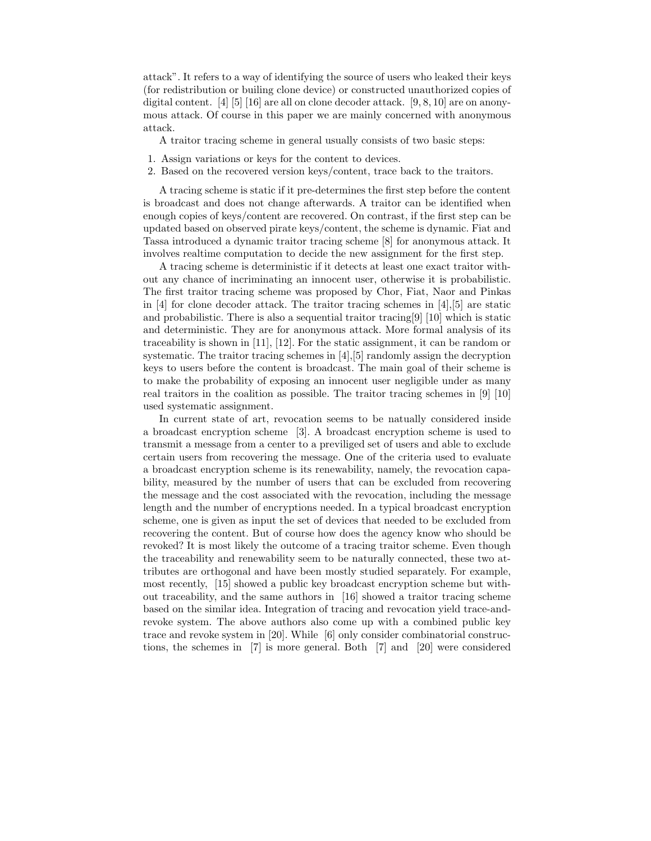attack". It refers to a way of identifying the source of users who leaked their keys (for redistribution or builing clone device) or constructed unauthorized copies of digital content. [4] [5] [16] are all on clone decoder attack. [9, 8, 10] are on anonymous attack. Of course in this paper we are mainly concerned with anonymous attack.

A traitor tracing scheme in general usually consists of two basic steps:

- 1. Assign variations or keys for the content to devices.
- 2. Based on the recovered version keys/content, trace back to the traitors.

A tracing scheme is static if it pre-determines the first step before the content is broadcast and does not change afterwards. A traitor can be identified when enough copies of keys/content are recovered. On contrast, if the first step can be updated based on observed pirate keys/content, the scheme is dynamic. Fiat and Tassa introduced a dynamic traitor tracing scheme [8] for anonymous attack. It involves realtime computation to decide the new assignment for the first step.

A tracing scheme is deterministic if it detects at least one exact traitor without any chance of incriminating an innocent user, otherwise it is probabilistic. The first traitor tracing scheme was proposed by Chor, Fiat, Naor and Pinkas in [4] for clone decoder attack. The traitor tracing schemes in [4], [5] are static and probabilistic. There is also a sequential traitor tracing[9] [10] which is static and deterministic. They are for anonymous attack. More formal analysis of its traceability is shown in [11], [12]. For the static assignment, it can be random or systematic. The traitor tracing schemes in [4],[5] randomly assign the decryption keys to users before the content is broadcast. The main goal of their scheme is to make the probability of exposing an innocent user negligible under as many real traitors in the coalition as possible. The traitor tracing schemes in [9] [10] used systematic assignment.

In current state of art, revocation seems to be natually considered inside a broadcast encryption scheme [3]. A broadcast encryption scheme is used to transmit a message from a center to a previliged set of users and able to exclude certain users from recovering the message. One of the criteria used to evaluate a broadcast encryption scheme is its renewability, namely, the revocation capability, measured by the number of users that can be excluded from recovering the message and the cost associated with the revocation, including the message length and the number of encryptions needed. In a typical broadcast encryption scheme, one is given as input the set of devices that needed to be excluded from recovering the content. But of course how does the agency know who should be revoked? It is most likely the outcome of a tracing traitor scheme. Even though the traceability and renewability seem to be naturally connected, these two attributes are orthogonal and have been mostly studied separately. For example, most recently, [15] showed a public key broadcast encryption scheme but without traceability, and the same authors in [16] showed a traitor tracing scheme based on the similar idea. Integration of tracing and revocation yield trace-andrevoke system. The above authors also come up with a combined public key trace and revoke system in [20]. While [6] only consider combinatorial constructions, the schemes in [7] is more general. Both [7] and [20] were considered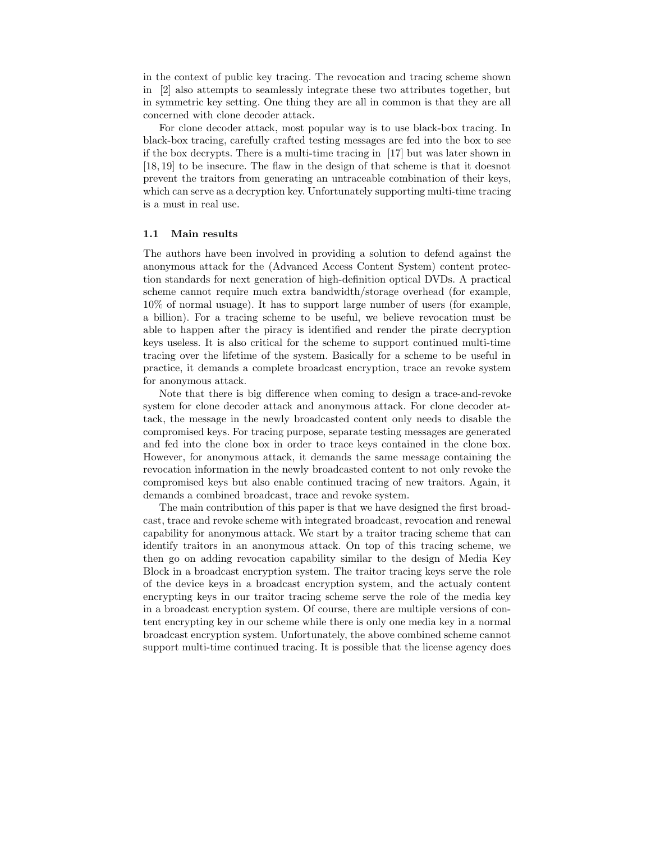in the context of public key tracing. The revocation and tracing scheme shown in [2] also attempts to seamlessly integrate these two attributes together, but in symmetric key setting. One thing they are all in common is that they are all concerned with clone decoder attack.

For clone decoder attack, most popular way is to use black-box tracing. In black-box tracing, carefully crafted testing messages are fed into the box to see if the box decrypts. There is a multi-time tracing in [17] but was later shown in [18, 19] to be insecure. The flaw in the design of that scheme is that it doesnot prevent the traitors from generating an untraceable combination of their keys, which can serve as a decryption key. Unfortunately supporting multi-time tracing is a must in real use.

#### **1.1 Main results**

The authors have been involved in providing a solution to defend against the anonymous attack for the (Advanced Access Content System) content protection standards for next generation of high-definition optical DVDs. A practical scheme cannot require much extra bandwidth/storage overhead (for example, 10% of normal usuage). It has to support large number of users (for example, a billion). For a tracing scheme to be useful, we believe revocation must be able to happen after the piracy is identified and render the pirate decryption keys useless. It is also critical for the scheme to support continued multi-time tracing over the lifetime of the system. Basically for a scheme to be useful in practice, it demands a complete broadcast encryption, trace an revoke system for anonymous attack.

Note that there is big difference when coming to design a trace-and-revoke system for clone decoder attack and anonymous attack. For clone decoder attack, the message in the newly broadcasted content only needs to disable the compromised keys. For tracing purpose, separate testing messages are generated and fed into the clone box in order to trace keys contained in the clone box. However, for anonymous attack, it demands the same message containing the revocation information in the newly broadcasted content to not only revoke the compromised keys but also enable continued tracing of new traitors. Again, it demands a combined broadcast, trace and revoke system.

The main contribution of this paper is that we have designed the first broadcast, trace and revoke scheme with integrated broadcast, revocation and renewal capability for anonymous attack. We start by a traitor tracing scheme that can identify traitors in an anonymous attack. On top of this tracing scheme, we then go on adding revocation capability similar to the design of Media Key Block in a broadcast encryption system. The traitor tracing keys serve the role of the device keys in a broadcast encryption system, and the actualy content encrypting keys in our traitor tracing scheme serve the role of the media key in a broadcast encryption system. Of course, there are multiple versions of content encrypting key in our scheme while there is only one media key in a normal broadcast encryption system. Unfortunately, the above combined scheme cannot support multi-time continued tracing. It is possible that the license agency does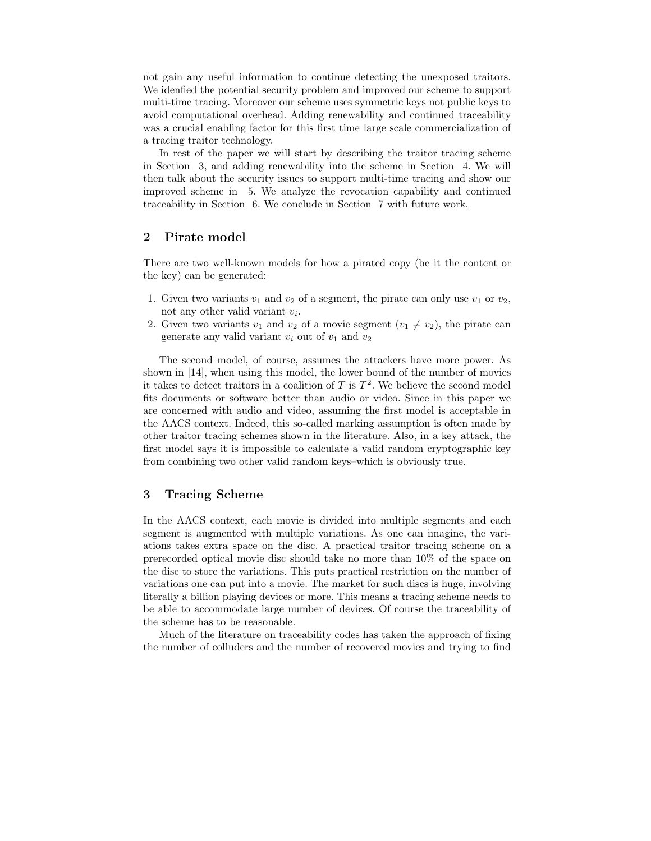not gain any useful information to continue detecting the unexposed traitors. We idenfied the potential security problem and improved our scheme to support multi-time tracing. Moreover our scheme uses symmetric keys not public keys to avoid computational overhead. Adding renewability and continued traceability was a crucial enabling factor for this first time large scale commercialization of a tracing traitor technology.

In rest of the paper we will start by describing the traitor tracing scheme in Section 3, and adding renewability into the scheme in Section 4. We will then talk about the security issues to support multi-time tracing and show our improved scheme in 5. We analyze the revocation capability and continued traceability in Section 6. We conclude in Section 7 with future work.

#### **2 Pirate model**

There are two well-known models for how a pirated copy (be it the content or the key) can be generated:

- 1. Given two variants  $v_1$  and  $v_2$  of a segment, the pirate can only use  $v_1$  or  $v_2$ , not any other valid variant *vi*.
- 2. Given two variants  $v_1$  and  $v_2$  of a movie segment  $(v_1 \neq v_2)$ , the pirate can generate any valid variant  $v_i$  out of  $v_1$  and  $v_2$

The second model, of course, assumes the attackers have more power. As shown in [14], when using this model, the lower bound of the number of movies it takes to detect traitors in a coalition of  $T$  is  $T^2$ . We believe the second model fits documents or software better than audio or video. Since in this paper we are concerned with audio and video, assuming the first model is acceptable in the AACS context. Indeed, this so-called marking assumption is often made by other traitor tracing schemes shown in the literature. Also, in a key attack, the first model says it is impossible to calculate a valid random cryptographic key from combining two other valid random keys–which is obviously true.

#### **3 Tracing Scheme**

In the AACS context, each movie is divided into multiple segments and each segment is augmented with multiple variations. As one can imagine, the variations takes extra space on the disc. A practical traitor tracing scheme on a prerecorded optical movie disc should take no more than 10% of the space on the disc to store the variations. This puts practical restriction on the number of variations one can put into a movie. The market for such discs is huge, involving literally a billion playing devices or more. This means a tracing scheme needs to be able to accommodate large number of devices. Of course the traceability of the scheme has to be reasonable.

Much of the literature on traceability codes has taken the approach of fixing the number of colluders and the number of recovered movies and trying to find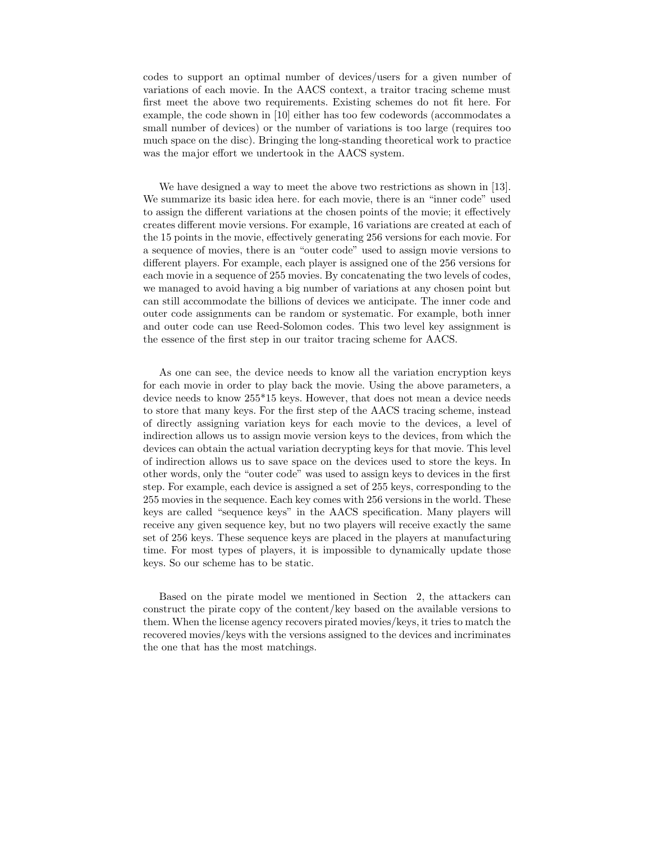codes to support an optimal number of devices/users for a given number of variations of each movie. In the AACS context, a traitor tracing scheme must first meet the above two requirements. Existing schemes do not fit here. For example, the code shown in [10] either has too few codewords (accommodates a small number of devices) or the number of variations is too large (requires too much space on the disc). Bringing the long-standing theoretical work to practice was the major effort we undertook in the AACS system.

We have designed a way to meet the above two restrictions as shown in [13]. We summarize its basic idea here. for each movie, there is an "inner code" used to assign the different variations at the chosen points of the movie; it effectively creates different movie versions. For example, 16 variations are created at each of the 15 points in the movie, effectively generating 256 versions for each movie. For a sequence of movies, there is an "outer code" used to assign movie versions to different players. For example, each player is assigned one of the 256 versions for each movie in a sequence of 255 movies. By concatenating the two levels of codes, we managed to avoid having a big number of variations at any chosen point but can still accommodate the billions of devices we anticipate. The inner code and outer code assignments can be random or systematic. For example, both inner and outer code can use Reed-Solomon codes. This two level key assignment is the essence of the first step in our traitor tracing scheme for AACS.

As one can see, the device needs to know all the variation encryption keys for each movie in order to play back the movie. Using the above parameters, a device needs to know 255\*15 keys. However, that does not mean a device needs to store that many keys. For the first step of the AACS tracing scheme, instead of directly assigning variation keys for each movie to the devices, a level of indirection allows us to assign movie version keys to the devices, from which the devices can obtain the actual variation decrypting keys for that movie. This level of indirection allows us to save space on the devices used to store the keys. In other words, only the "outer code" was used to assign keys to devices in the first step. For example, each device is assigned a set of 255 keys, corresponding to the 255 movies in the sequence. Each key comes with 256 versions in the world. These keys are called "sequence keys" in the AACS specification. Many players will receive any given sequence key, but no two players will receive exactly the same set of 256 keys. These sequence keys are placed in the players at manufacturing time. For most types of players, it is impossible to dynamically update those keys. So our scheme has to be static.

Based on the pirate model we mentioned in Section 2, the attackers can construct the pirate copy of the content/key based on the available versions to them. When the license agency recovers pirated movies/keys, it tries to match the recovered movies/keys with the versions assigned to the devices and incriminates the one that has the most matchings.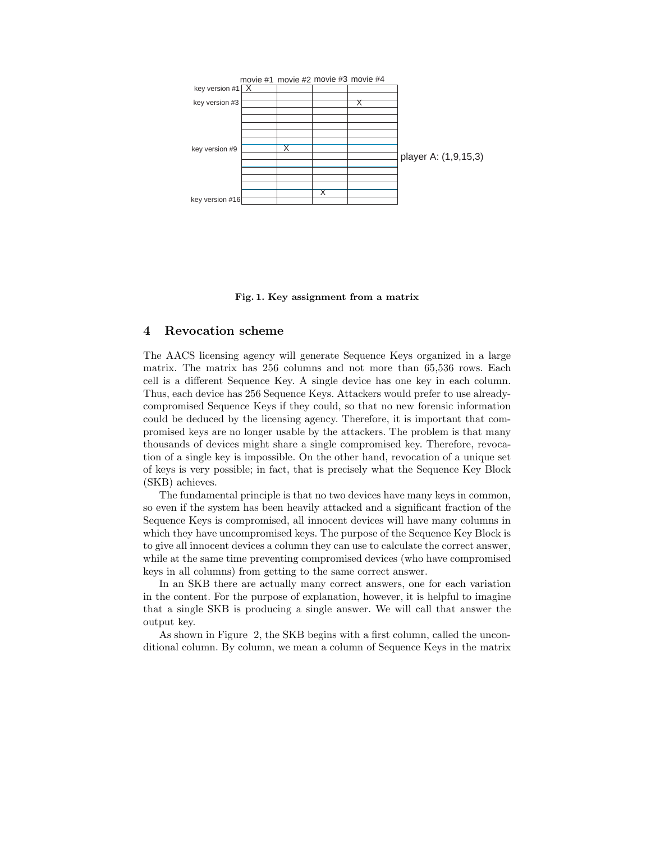

**Fig. 1. Key assignment from a matrix**

#### **4 Revocation scheme**

The AACS licensing agency will generate Sequence Keys organized in a large matrix. The matrix has 256 columns and not more than 65,536 rows. Each cell is a different Sequence Key. A single device has one key in each column. Thus, each device has 256 Sequence Keys. Attackers would prefer to use alreadycompromised Sequence Keys if they could, so that no new forensic information could be deduced by the licensing agency. Therefore, it is important that compromised keys are no longer usable by the attackers. The problem is that many thousands of devices might share a single compromised key. Therefore, revocation of a single key is impossible. On the other hand, revocation of a unique set of keys is very possible; in fact, that is precisely what the Sequence Key Block (SKB) achieves.

The fundamental principle is that no two devices have many keys in common, so even if the system has been heavily attacked and a significant fraction of the Sequence Keys is compromised, all innocent devices will have many columns in which they have uncompromised keys. The purpose of the Sequence Key Block is to give all innocent devices a column they can use to calculate the correct answer, while at the same time preventing compromised devices (who have compromised keys in all columns) from getting to the same correct answer.

In an SKB there are actually many correct answers, one for each variation in the content. For the purpose of explanation, however, it is helpful to imagine that a single SKB is producing a single answer. We will call that answer the output key.

As shown in Figure 2, the SKB begins with a first column, called the unconditional column. By column, we mean a column of Sequence Keys in the matrix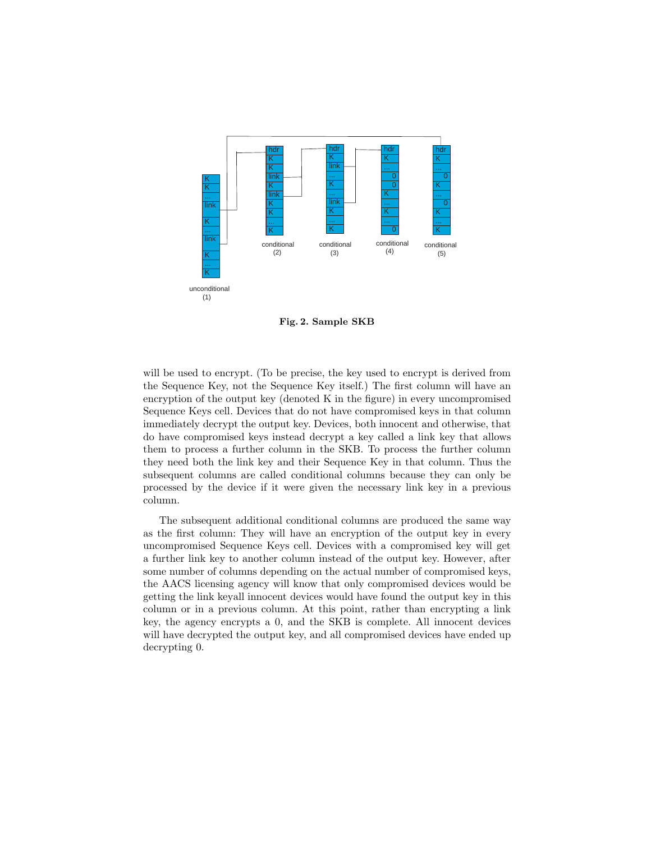

**Fig. 2. Sample SKB**

will be used to encrypt. (To be precise, the key used to encrypt is derived from the Sequence Key, not the Sequence Key itself.) The first column will have an encryption of the output key (denoted K in the figure) in every uncompromised Sequence Keys cell. Devices that do not have compromised keys in that column immediately decrypt the output key. Devices, both innocent and otherwise, that do have compromised keys instead decrypt a key called a link key that allows them to process a further column in the SKB. To process the further column they need both the link key and their Sequence Key in that column. Thus the subsequent columns are called conditional columns because they can only be processed by the device if it were given the necessary link key in a previous column.

The subsequent additional conditional columns are produced the same way as the first column: They will have an encryption of the output key in every uncompromised Sequence Keys cell. Devices with a compromised key will get a further link key to another column instead of the output key. However, after some number of columns depending on the actual number of compromised keys, the AACS licensing agency will know that only compromised devices would be getting the link keyall innocent devices would have found the output key in this column or in a previous column. At this point, rather than encrypting a link key, the agency encrypts a 0, and the SKB is complete. All innocent devices will have decrypted the output key, and all compromised devices have ended up decrypting 0.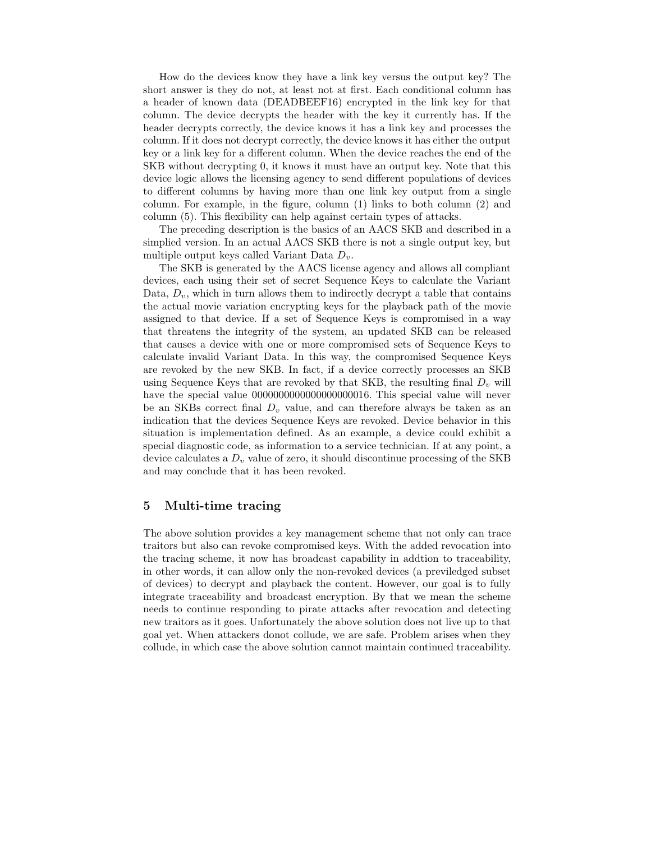How do the devices know they have a link key versus the output key? The short answer is they do not, at least not at first. Each conditional column has a header of known data (DEADBEEF16) encrypted in the link key for that column. The device decrypts the header with the key it currently has. If the header decrypts correctly, the device knows it has a link key and processes the column. If it does not decrypt correctly, the device knows it has either the output key or a link key for a different column. When the device reaches the end of the SKB without decrypting 0, it knows it must have an output key. Note that this device logic allows the licensing agency to send different populations of devices to different columns by having more than one link key output from a single column. For example, in the figure, column (1) links to both column (2) and column (5). This flexibility can help against certain types of attacks.

The preceding description is the basics of an AACS SKB and described in a simplied version. In an actual AACS SKB there is not a single output key, but multiple output keys called Variant Data *Dv*.

The SKB is generated by the AACS license agency and allows all compliant devices, each using their set of secret Sequence Keys to calculate the Variant Data,  $D_v$ , which in turn allows them to indirectly decrypt a table that contains the actual movie variation encrypting keys for the playback path of the movie assigned to that device. If a set of Sequence Keys is compromised in a way that threatens the integrity of the system, an updated SKB can be released that causes a device with one or more compromised sets of Sequence Keys to calculate invalid Variant Data. In this way, the compromised Sequence Keys are revoked by the new SKB. In fact, if a device correctly processes an SKB using Sequence Keys that are revoked by that SKB, the resulting final  $D<sub>v</sub>$  will have the special value 0000000000000000000016. This special value will never be an SKBs correct final  $D<sub>v</sub>$  value, and can therefore always be taken as an indication that the devices Sequence Keys are revoked. Device behavior in this situation is implementation defined. As an example, a device could exhibit a special diagnostic code, as information to a service technician. If at any point, a device calculates a *D<sup>v</sup>* value of zero, it should discontinue processing of the SKB and may conclude that it has been revoked.

#### **5 Multi-time tracing**

The above solution provides a key management scheme that not only can trace traitors but also can revoke compromised keys. With the added revocation into the tracing scheme, it now has broadcast capability in addtion to traceability, in other words, it can allow only the non-revoked devices (a previledged subset of devices) to decrypt and playback the content. However, our goal is to fully integrate traceability and broadcast encryption. By that we mean the scheme needs to continue responding to pirate attacks after revocation and detecting new traitors as it goes. Unfortunately the above solution does not live up to that goal yet. When attackers donot collude, we are safe. Problem arises when they collude, in which case the above solution cannot maintain continued traceability.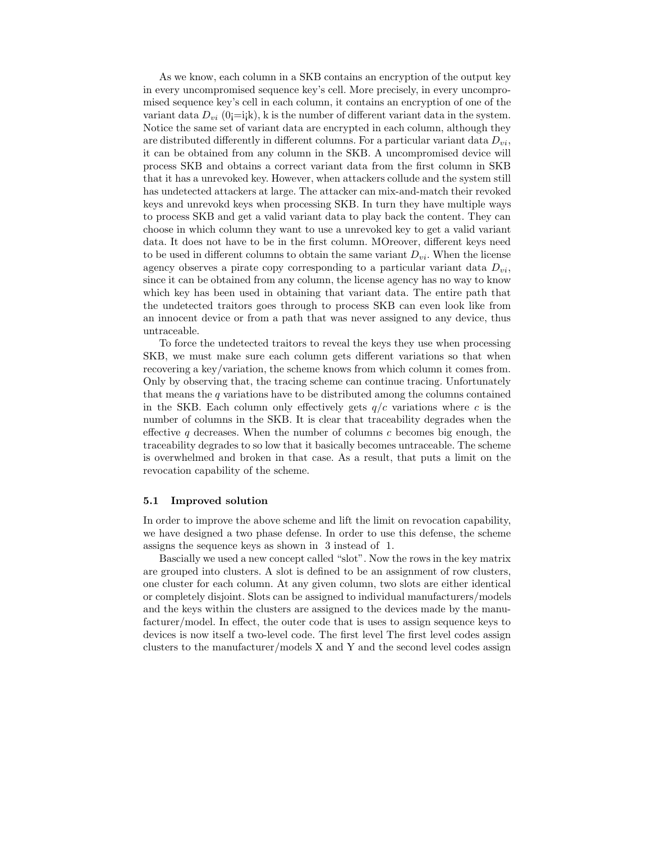As we know, each column in a SKB contains an encryption of the output key in every uncompromised sequence key's cell. More precisely, in every uncompromised sequence key's cell in each column, it contains an encryption of one of the variant data  $D_{vi}$  (0 $i$ =i<sub>i</sub>k), k is the number of different variant data in the system. Notice the same set of variant data are encrypted in each column, although they are distributed differently in different columns. For a particular variant data *Dvi*, it can be obtained from any column in the SKB. A uncompromised device will process SKB and obtains a correct variant data from the first column in SKB that it has a unrevoked key. However, when attackers collude and the system still has undetected attackers at large. The attacker can mix-and-match their revoked keys and unrevokd keys when processing SKB. In turn they have multiple ways to process SKB and get a valid variant data to play back the content. They can choose in which column they want to use a unrevoked key to get a valid variant data. It does not have to be in the first column. MOreover, different keys need to be used in different columns to obtain the same variant  $D_{vi}$ . When the license agency observes a pirate copy corresponding to a particular variant data *Dvi*, since it can be obtained from any column, the license agency has no way to know which key has been used in obtaining that variant data. The entire path that the undetected traitors goes through to process SKB can even look like from an innocent device or from a path that was never assigned to any device, thus untraceable.

To force the undetected traitors to reveal the keys they use when processing SKB, we must make sure each column gets different variations so that when recovering a key/variation, the scheme knows from which column it comes from. Only by observing that, the tracing scheme can continue tracing. Unfortunately that means the *q* variations have to be distributed among the columns contained in the SKB. Each column only effectively gets *q/c* variations where *c* is the number of columns in the SKB. It is clear that traceability degrades when the effective *q* decreases. When the number of columns *c* becomes big enough, the traceability degrades to so low that it basically becomes untraceable. The scheme is overwhelmed and broken in that case. As a result, that puts a limit on the revocation capability of the scheme.

#### **5.1 Improved solution**

In order to improve the above scheme and lift the limit on revocation capability, we have designed a two phase defense. In order to use this defense, the scheme assigns the sequence keys as shown in 3 instead of 1.

Bascially we used a new concept called "slot". Now the rows in the key matrix are grouped into clusters. A slot is defined to be an assignment of row clusters, one cluster for each column. At any given column, two slots are either identical or completely disjoint. Slots can be assigned to individual manufacturers/models and the keys within the clusters are assigned to the devices made by the manufacturer/model. In effect, the outer code that is uses to assign sequence keys to devices is now itself a two-level code. The first level The first level codes assign clusters to the manufacturer/models X and Y and the second level codes assign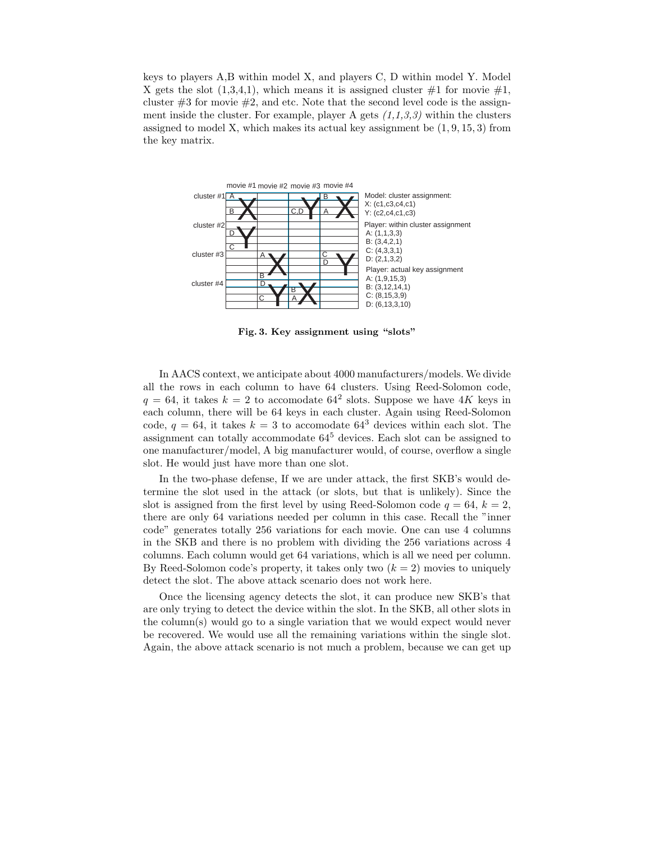keys to players A,B within model X, and players C, D within model Y. Model X gets the slot  $(1,3,4,1)$ , which means it is assigned cluster  $\#1$  for movie  $\#1$ , cluster  $\#3$  for movie  $\#2$ , and etc. Note that the second level code is the assignment inside the cluster. For example, player A gets *(1,1,3,3)* within the clusters assigned to model X, which makes its actual key assignment be (1*,* 9*,* 15*,* 3) from the key matrix.



**Fig. 3. Key assignment using "slots"**

In AACS context, we anticipate about 4000 manufacturers/models. We divide all the rows in each column to have 64 clusters. Using Reed-Solomon code,  $q = 64$ , it takes  $k = 2$  to accomodate  $64^2$  slots. Suppose we have  $4K$  keys in each column, there will be 64 keys in each cluster. Again using Reed-Solomon code,  $q = 64$ , it takes  $k = 3$  to accomodate  $64<sup>3</sup>$  devices within each slot. The assignment can totally accommodate 64<sup>5</sup> devices. Each slot can be assigned to one manufacturer/model, A big manufacturer would, of course, overflow a single slot. He would just have more than one slot.

In the two-phase defense, If we are under attack, the first SKB's would determine the slot used in the attack (or slots, but that is unlikely). Since the slot is assigned from the first level by using Reed-Solomon code  $q = 64$ ,  $k = 2$ , there are only 64 variations needed per column in this case. Recall the "inner code" generates totally 256 variations for each movie. One can use 4 columns in the SKB and there is no problem with dividing the 256 variations across 4 columns. Each column would get 64 variations, which is all we need per column. By Reed-Solomon code's property, it takes only two (*k* = 2) movies to uniquely detect the slot. The above attack scenario does not work here.

Once the licensing agency detects the slot, it can produce new SKB's that are only trying to detect the device within the slot. In the SKB, all other slots in the column(s) would go to a single variation that we would expect would never be recovered. We would use all the remaining variations within the single slot. Again, the above attack scenario is not much a problem, because we can get up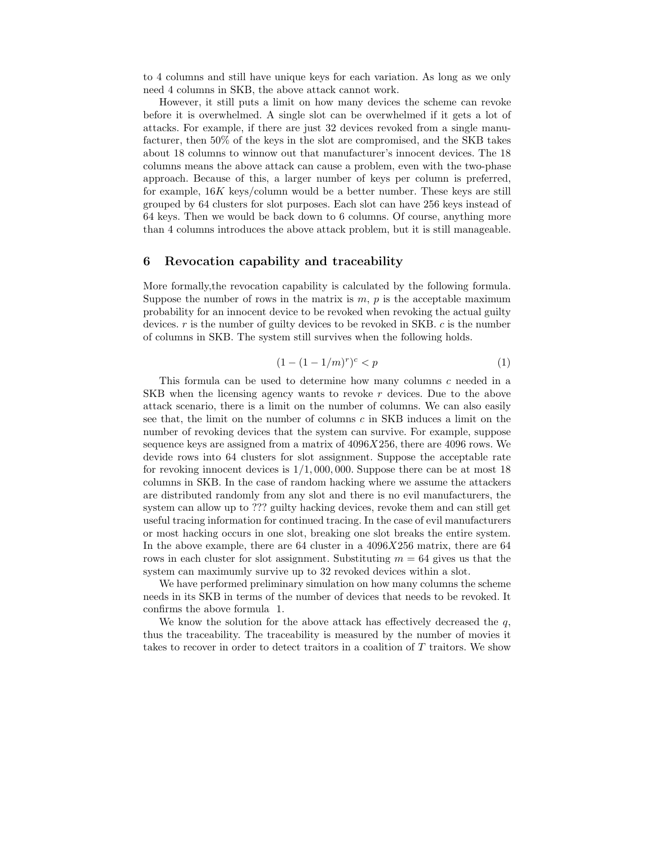to 4 columns and still have unique keys for each variation. As long as we only need 4 columns in SKB, the above attack cannot work.

However, it still puts a limit on how many devices the scheme can revoke before it is overwhelmed. A single slot can be overwhelmed if it gets a lot of attacks. For example, if there are just 32 devices revoked from a single manufacturer, then 50% of the keys in the slot are compromised, and the SKB takes about 18 columns to winnow out that manufacturer's innocent devices. The 18 columns means the above attack can cause a problem, even with the two-phase approach. Because of this, a larger number of keys per column is preferred, for example, 16*K* keys/column would be a better number. These keys are still grouped by 64 clusters for slot purposes. Each slot can have 256 keys instead of 64 keys. Then we would be back down to 6 columns. Of course, anything more than 4 columns introduces the above attack problem, but it is still manageable.

#### **6 Revocation capability and traceability**

More formally,the revocation capability is calculated by the following formula. Suppose the number of rows in the matrix is  $m$ ,  $p$  is the acceptable maximum probability for an innocent device to be revoked when revoking the actual guilty devices. *r* is the number of guilty devices to be revoked in SKB. *c* is the number of columns in SKB. The system still survives when the following holds.

$$
(1 - (1 - 1/m)^r)^c < p \tag{1}
$$

This formula can be used to determine how many columns *c* needed in a SKB when the licensing agency wants to revoke *r* devices. Due to the above attack scenario, there is a limit on the number of columns. We can also easily see that, the limit on the number of columns *c* in SKB induces a limit on the number of revoking devices that the system can survive. For example, suppose sequence keys are assigned from a matrix of 4096*X*256, there are 4096 rows. We devide rows into 64 clusters for slot assignment. Suppose the acceptable rate for revoking innocent devices is 1*/*1*,* 000*,* 000. Suppose there can be at most 18 columns in SKB. In the case of random hacking where we assume the attackers are distributed randomly from any slot and there is no evil manufacturers, the system can allow up to ??? guilty hacking devices, revoke them and can still get useful tracing information for continued tracing. In the case of evil manufacturers or most hacking occurs in one slot, breaking one slot breaks the entire system. In the above example, there are 64 cluster in a 4096*X*256 matrix, there are 64 rows in each cluster for slot assignment. Substituting *m* = 64 gives us that the system can maximumly survive up to 32 revoked devices within a slot.

We have performed preliminary simulation on how many columns the scheme needs in its SKB in terms of the number of devices that needs to be revoked. It confirms the above formula 1.

We know the solution for the above attack has effectively decreased the *q*, thus the traceability. The traceability is measured by the number of movies it takes to recover in order to detect traitors in a coalition of *T* traitors. We show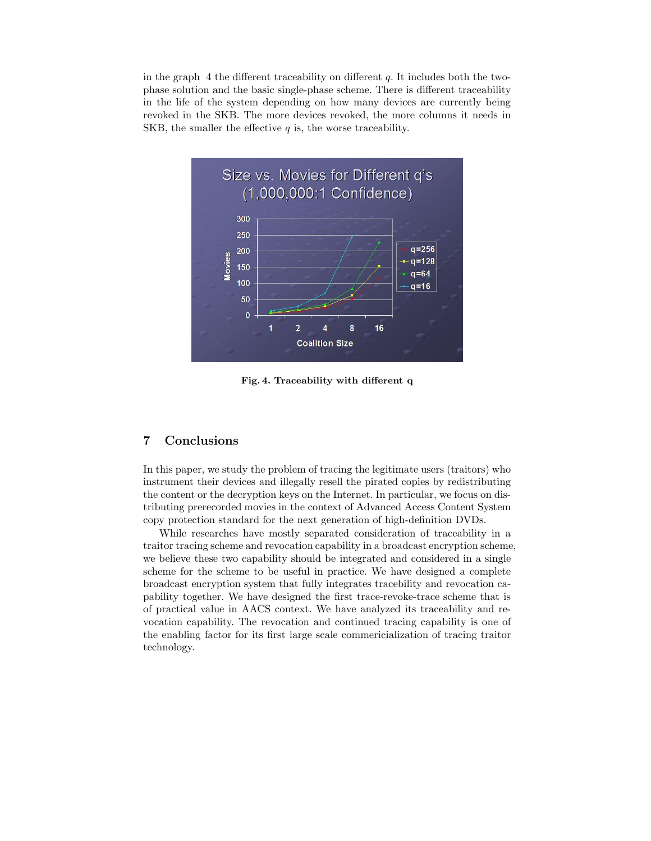in the graph 4 the different traceability on different *q*. It includes both the twophase solution and the basic single-phase scheme. There is different traceability in the life of the system depending on how many devices are currently being revoked in the SKB. The more devices revoked, the more columns it needs in SKB, the smaller the effective *q* is, the worse traceability.



**Fig. 4. Traceability with different q**

#### **7 Conclusions**

In this paper, we study the problem of tracing the legitimate users (traitors) who instrument their devices and illegally resell the pirated copies by redistributing the content or the decryption keys on the Internet. In particular, we focus on distributing prerecorded movies in the context of Advanced Access Content System copy protection standard for the next generation of high-definition DVDs.

While researches have mostly separated consideration of traceability in a traitor tracing scheme and revocation capability in a broadcast encryption scheme, we believe these two capability should be integrated and considered in a single scheme for the scheme to be useful in practice. We have designed a complete broadcast encryption system that fully integrates tracebility and revocation capability together. We have designed the first trace-revoke-trace scheme that is of practical value in AACS context. We have analyzed its traceability and revocation capability. The revocation and continued tracing capability is one of the enabling factor for its first large scale commericialization of tracing traitor technology.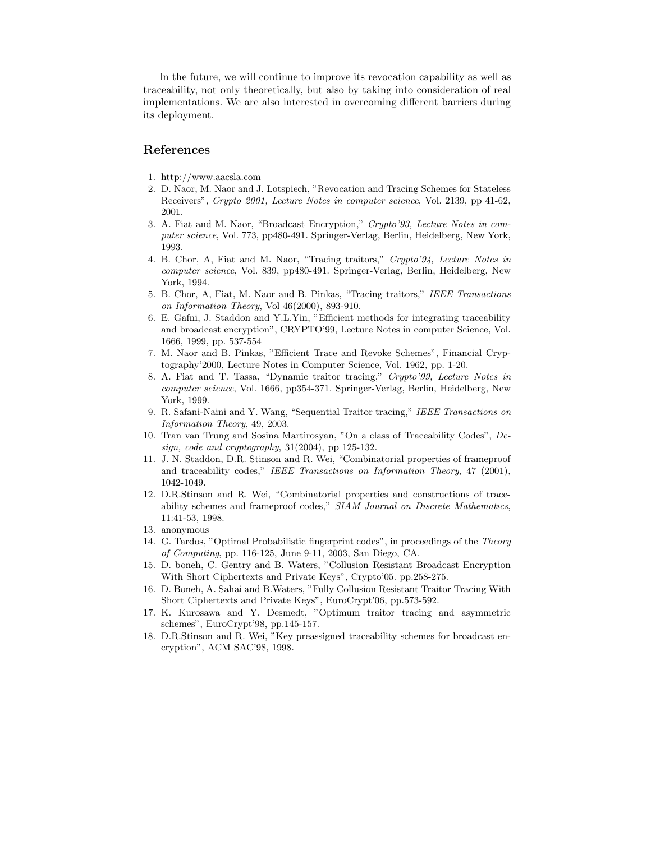In the future, we will continue to improve its revocation capability as well as traceability, not only theoretically, but also by taking into consideration of real implementations. We are also interested in overcoming different barriers during its deployment.

#### **References**

- 1. http://www.aacsla.com
- 2. D. Naor, M. Naor and J. Lotspiech, "Revocation and Tracing Schemes for Stateless Receivers", *Crypto 2001, Lecture Notes in computer science*, Vol. 2139, pp 41-62, 2001.
- 3. A. Fiat and M. Naor, "Broadcast Encryption," *Crypto'93, Lecture Notes in computer science*, Vol. 773, pp480-491. Springer-Verlag, Berlin, Heidelberg, New York, 1993.
- 4. B. Chor, A, Fiat and M. Naor, "Tracing traitors," *Crypto'94, Lecture Notes in computer science*, Vol. 839, pp480-491. Springer-Verlag, Berlin, Heidelberg, New York, 1994.
- 5. B. Chor, A, Fiat, M. Naor and B. Pinkas, "Tracing traitors," *IEEE Transactions on Information Theory*, Vol 46(2000), 893-910.
- 6. E. Gafni, J. Staddon and Y.L.Yin, "Efficient methods for integrating traceability and broadcast encryption", CRYPTO'99, Lecture Notes in computer Science, Vol. 1666, 1999, pp. 537-554
- 7. M. Naor and B. Pinkas, "Efficient Trace and Revoke Schemes", Financial Cryptography'2000, Lecture Notes in Computer Science, Vol. 1962, pp. 1-20.
- 8. A. Fiat and T. Tassa, "Dynamic traitor tracing," *Crypto'99, Lecture Notes in computer science*, Vol. 1666, pp354-371. Springer-Verlag, Berlin, Heidelberg, New York, 1999.
- 9. R. Safani-Naini and Y. Wang, "Sequential Traitor tracing," *IEEE Transactions on Information Theory*, 49, 2003.
- 10. Tran van Trung and Sosina Martirosyan, "On a class of Traceability Codes", *Design, code and cryptography*, 31(2004), pp 125-132.
- 11. J. N. Staddon, D.R. Stinson and R. Wei, "Combinatorial properties of frameproof and traceability codes," *IEEE Transactions on Information Theory*, 47 (2001), 1042-1049.
- 12. D.R.Stinson and R. Wei, "Combinatorial properties and constructions of traceability schemes and frameproof codes," *SIAM Journal on Discrete Mathematics*, 11:41-53, 1998.
- 13. anonymous
- 14. G. Tardos, "Optimal Probabilistic fingerprint codes", in proceedings of the *Theory of Computing*, pp. 116-125, June 9-11, 2003, San Diego, CA.
- 15. D. boneh, C. Gentry and B. Waters, "Collusion Resistant Broadcast Encryption With Short Ciphertexts and Private Keys", Crypto'05. pp.258-275.
- 16. D. Boneh, A. Sahai and B.Waters, "Fully Collusion Resistant Traitor Tracing With Short Ciphertexts and Private Keys", EuroCrypt'06, pp.573-592.
- 17. K. Kurosawa and Y. Desmedt, "Optimum traitor tracing and asymmetric schemes", EuroCrypt'98, pp.145-157.
- 18. D.R.Stinson and R. Wei, "Key preassigned traceability schemes for broadcast encryption", ACM SAC'98, 1998.